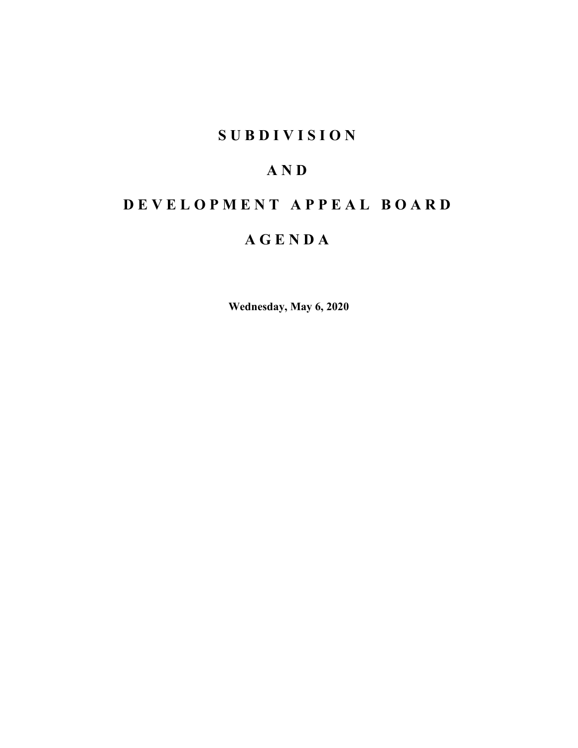# **SUBDIVISION**

# **AND**

# **DEVELOPMENT APPEAL BOARD**

# **AGENDA**

**Wednesday, May 6, 2020**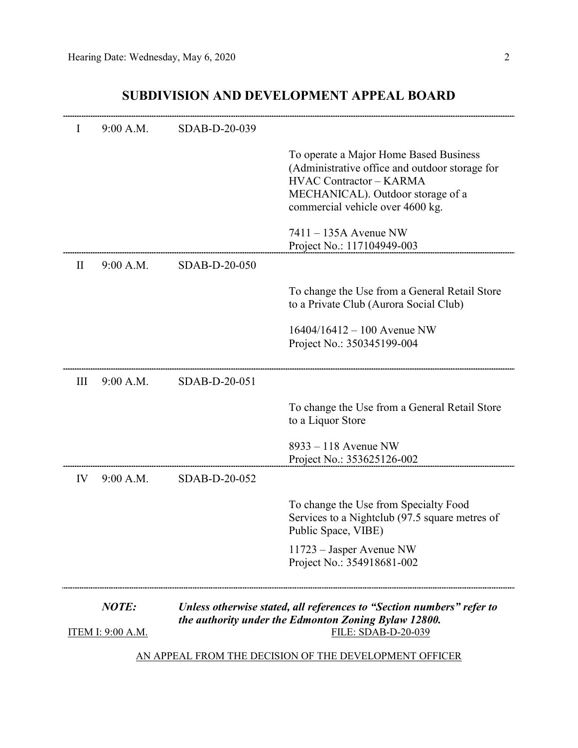## **SUBDIVISION AND DEVELOPMENT APPEAL BOARD**

| $\mathbf{I}$                                           | 9:00 A.M. | SDAB-D-20-039                                                                                                                 |                                                                                                                                                                                                     |  |
|--------------------------------------------------------|-----------|-------------------------------------------------------------------------------------------------------------------------------|-----------------------------------------------------------------------------------------------------------------------------------------------------------------------------------------------------|--|
|                                                        |           |                                                                                                                               | To operate a Major Home Based Business<br>(Administrative office and outdoor storage for<br><b>HVAC Contractor - KARMA</b><br>MECHANICAL). Outdoor storage of a<br>commercial vehicle over 4600 kg. |  |
|                                                        |           |                                                                                                                               | $7411 - 135A$ Avenue NW<br>Project No.: 117104949-003                                                                                                                                               |  |
| $\rm II$                                               | 9:00 A.M. | SDAB-D-20-050                                                                                                                 |                                                                                                                                                                                                     |  |
|                                                        |           |                                                                                                                               | To change the Use from a General Retail Store<br>to a Private Club (Aurora Social Club)                                                                                                             |  |
|                                                        |           |                                                                                                                               | $16404/16412 - 100$ Avenue NW<br>Project No.: 350345199-004                                                                                                                                         |  |
| Ш                                                      | 9:00 A.M. | SDAB-D-20-051                                                                                                                 |                                                                                                                                                                                                     |  |
|                                                        |           |                                                                                                                               | To change the Use from a General Retail Store<br>to a Liquor Store                                                                                                                                  |  |
|                                                        |           |                                                                                                                               | $8933 - 118$ Avenue NW<br>Project No.: 353625126-002                                                                                                                                                |  |
| IV                                                     | 9:00 A.M. | SDAB-D-20-052                                                                                                                 |                                                                                                                                                                                                     |  |
|                                                        |           |                                                                                                                               | To change the Use from Specialty Food<br>Services to a Nightclub (97.5 square metres of<br>Public Space, VIBE)                                                                                      |  |
|                                                        |           |                                                                                                                               | 11723 – Jasper Avenue NW<br>Project No.: 354918681-002                                                                                                                                              |  |
| NOTE:                                                  |           | Unless otherwise stated, all references to "Section numbers" refer to<br>the authority under the Edmonton Zoning Bylaw 12800. |                                                                                                                                                                                                     |  |
| <u>ITEM I: 9:00 A.M.</u>                               |           |                                                                                                                               | FILE: SDAB-D-20-039                                                                                                                                                                                 |  |
| AN APPEAL FROM THE DECISION OF THE DEVELOPMENT OFFICER |           |                                                                                                                               |                                                                                                                                                                                                     |  |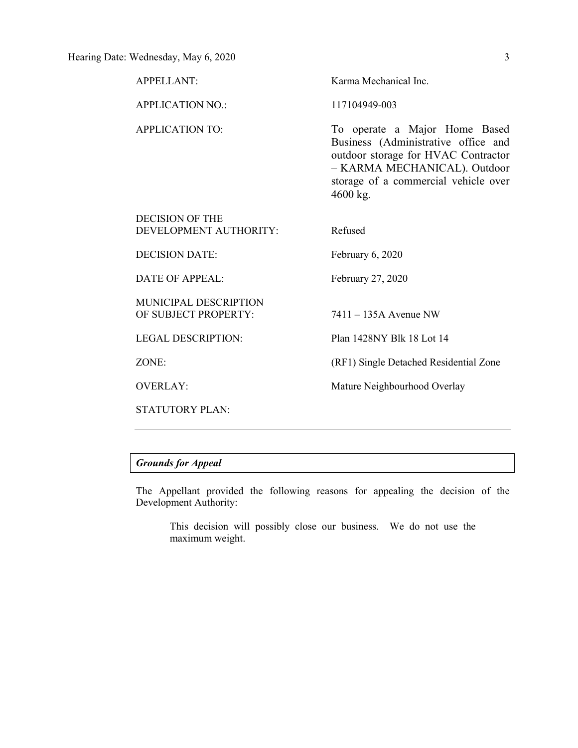| <b>APPELLANT:</b>                                    | Karma Mechanical Inc.                                                                                                                                                                           |
|------------------------------------------------------|-------------------------------------------------------------------------------------------------------------------------------------------------------------------------------------------------|
| <b>APPLICATION NO.:</b>                              | 117104949-003                                                                                                                                                                                   |
| <b>APPLICATION TO:</b>                               | To operate a Major Home Based<br>Business (Administrative office and<br>outdoor storage for HVAC Contractor<br>- KARMA MECHANICAL). Outdoor<br>storage of a commercial vehicle over<br>4600 kg. |
| DECISION OF THE<br>DEVELOPMENT AUTHORITY:            | Refused                                                                                                                                                                                         |
| <b>DECISION DATE:</b>                                | February 6, 2020                                                                                                                                                                                |
| <b>DATE OF APPEAL:</b>                               | February 27, 2020                                                                                                                                                                               |
| <b>MUNICIPAL DESCRIPTION</b><br>OF SUBJECT PROPERTY: | $7411 - 135A$ Avenue NW                                                                                                                                                                         |
| <b>LEGAL DESCRIPTION:</b>                            | Plan 1428NY Blk 18 Lot 14                                                                                                                                                                       |
| ZONE:                                                | (RF1) Single Detached Residential Zone                                                                                                                                                          |
| <b>OVERLAY:</b>                                      | Mature Neighbourhood Overlay                                                                                                                                                                    |
| <b>STATUTORY PLAN:</b>                               |                                                                                                                                                                                                 |

## *Grounds for Appeal*

The Appellant provided the following reasons for appealing the decision of the Development Authority:

This decision will possibly close our business. We do not use the maximum weight.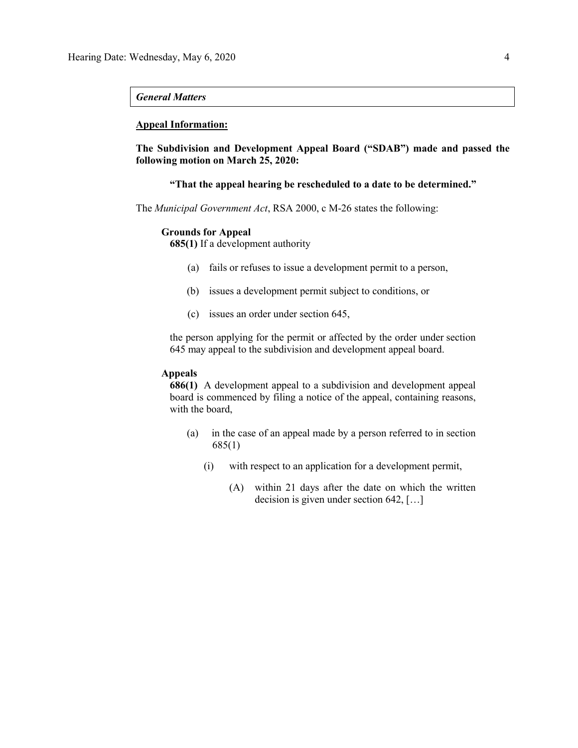#### *General Matters*

#### **Appeal Information:**

**The Subdivision and Development Appeal Board ("SDAB") made and passed the following motion on March 25, 2020:**

**"That the appeal hearing be rescheduled to a date to be determined."**

The *Municipal Government Act*, RSA 2000, c M-26 states the following:

#### **Grounds for Appeal**

**685(1)** If a development authority

- (a) fails or refuses to issue a development permit to a person,
- (b) issues a development permit subject to conditions, or
- (c) issues an order under section 645,

the person applying for the permit or affected by the order under section 645 may appeal to the subdivision and development appeal board.

#### **Appeals**

**686(1)** A development appeal to a subdivision and development appeal board is commenced by filing a notice of the appeal, containing reasons, with the board,

- (a) in the case of an appeal made by a person referred to in section 685(1)
	- (i) with respect to an application for a development permit,
		- (A) within 21 days after the date on which the written decision is given under section 642, […]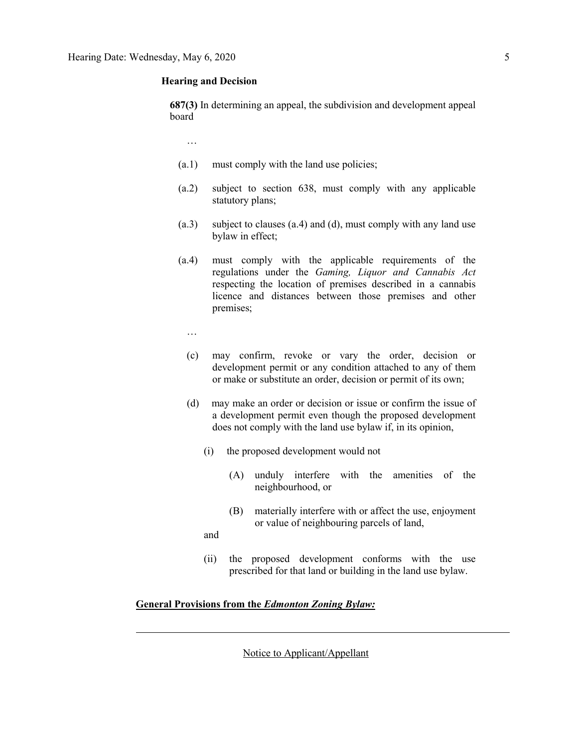#### **Hearing and Decision**

**687(3)** In determining an appeal, the subdivision and development appeal board

…

- (a.1) must comply with the land use policies;
- (a.2) subject to section 638, must comply with any applicable statutory plans;
- (a.3) subject to clauses (a.4) and (d), must comply with any land use bylaw in effect;
- (a.4) must comply with the applicable requirements of the regulations under the *Gaming, Liquor and Cannabis Act* respecting the location of premises described in a cannabis licence and distances between those premises and other premises;
	- …
	- (c) may confirm, revoke or vary the order, decision or development permit or any condition attached to any of them or make or substitute an order, decision or permit of its own;
	- (d) may make an order or decision or issue or confirm the issue of a development permit even though the proposed development does not comply with the land use bylaw if, in its opinion,
		- (i) the proposed development would not
			- (A) unduly interfere with the amenities of the neighbourhood, or
			- (B) materially interfere with or affect the use, enjoyment or value of neighbouring parcels of land,

and

(ii) the proposed development conforms with the use prescribed for that land or building in the land use bylaw.

### **General Provisions from the** *Edmonton Zoning Bylaw:*

Notice to Applicant/Appellant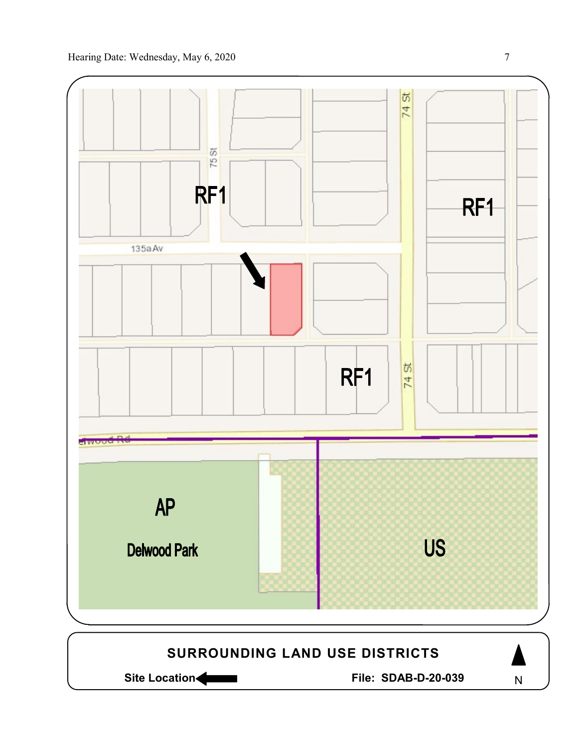



N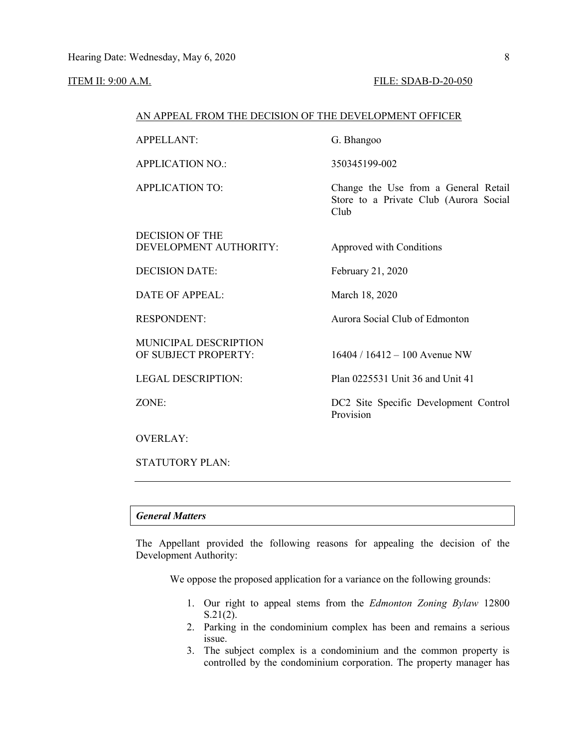#### ITEM II: 9:00 A.M. FILE: SDAB-D-20-050

#### AN APPEAL FROM THE DECISION OF THE DEVELOPMENT OFFICER

APPELLANT: G. Bhangoo

APPLICATION NO.: 350345199-002

DECISION OF THE DEVELOPMENT AUTHORITY: Approved with Conditions

DATE OF APPEAL: March 18, 2020

MUNICIPAL DESCRIPTION OF SUBJECT PROPERTY: 16404 / 16412 – 100 Avenue NW

APPLICATION TO: Change the Use from a General Retail Store to a Private Club (Aurora Social Club

DECISION DATE: February 21, 2020

RESPONDENT: Aurora Social Club of Edmonton

LEGAL DESCRIPTION: Plan 0225531 Unit 36 and Unit 41

ZONE: DC2 Site Specific Development Control Provision

OVERLAY:

STATUTORY PLAN:

#### *General Matters*

The Appellant provided the following reasons for appealing the decision of the Development Authority:

We oppose the proposed application for a variance on the following grounds:

- 1. Our right to appeal stems from the *Edmonton Zoning Bylaw* 12800 S.21(2).
- 2. Parking in the condominium complex has been and remains a serious issue.
- 3. The subject complex is a condominium and the common property is controlled by the condominium corporation. The property manager has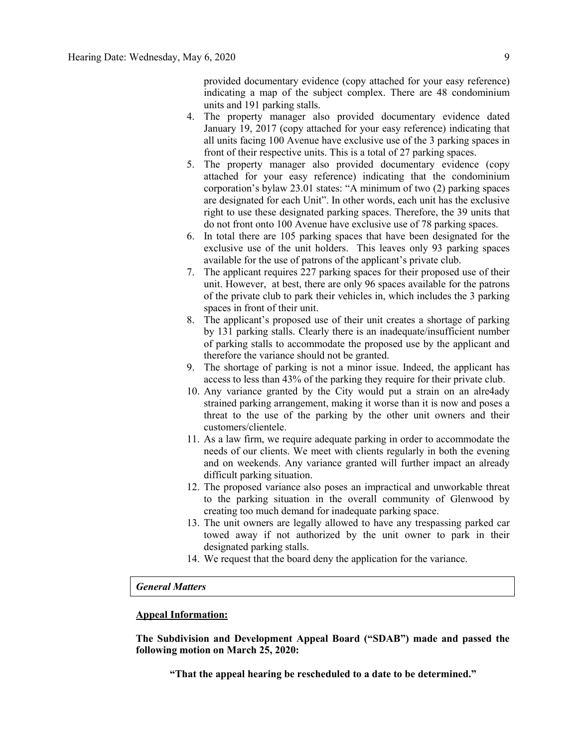provided documentary evidence (copy attached for your easy reference) indicating a map of the subject complex. There are 48 condominium units and 191 parking stalls.

- 4. The property manager also provided documentary evidence dated January 19, 2017 (copy attached for your easy reference) indicating that all units facing 100 Avenue have exclusive use of the 3 parking spaces in front of their respective units. This is a total of 27 parking spaces.
- 5. The property manager also provided documentary evidence (copy attached for your easy reference) indicating that the condominium corporation's bylaw 23.01 states: "A minimum of two (2) parking spaces are designated for each Unit". In other words, each unit has the exclusive right to use these designated parking spaces. Therefore, the 39 units that do not front onto 100 Avenue have exclusive use of 78 parking spaces.
- 6. In total there are 105 parking spaces that have been designated for the exclusive use of the unit holders. This leaves only 93 parking spaces available for the use of patrons of the applicant's private club.
- 7. The applicant requires 227 parking spaces for their proposed use of their unit. However, at best, there are only 96 spaces available for the patrons of the private club to park their vehicles in, which includes the 3 parking spaces in front of their unit.
- 8. The applicant's proposed use of their unit creates a shortage of parking by 131 parking stalls. Clearly there is an inadequate/insufficient number of parking stalls to accommodate the proposed use by the applicant and therefore the variance should not be granted.
- 9. The shortage of parking is not a minor issue. Indeed, the applicant has access to less than 43% of the parking they require for their private club.
- 10. Any variance granted by the City would put a strain on an alre4ady strained parking arrangement, making it worse than it is now and poses a threat to the use of the parking by the other unit owners and their customers/clientele.
- 11. As a law firm, we require adequate parking in order to accommodate the needs of our clients. We meet with clients regularly in both the evening and on weekends. Any variance granted will further impact an already difficult parking situation.
- 12. The proposed variance also poses an impractical and unworkable threat to the parking situation in the overall community of Glenwood by creating too much demand for inadequate parking space.
- 13. The unit owners are legally allowed to have any trespassing parked car towed away if not authorized by the unit owner to park in their designated parking stalls.
- 14. We request that the board deny the application for the variance.

#### *General Matters*

#### **Appeal Information:**

**The Subdivision and Development Appeal Board ("SDAB") made and passed the following motion on March 25, 2020:**

**"That the appeal hearing be rescheduled to a date to be determined."**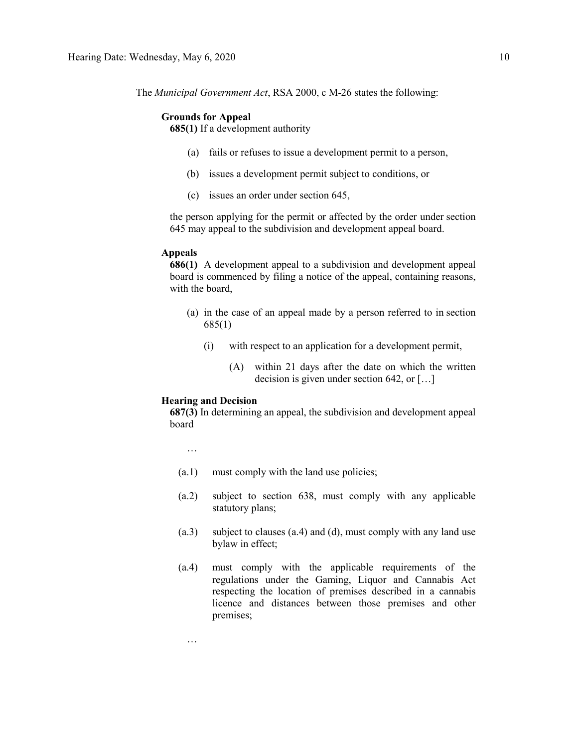The *Municipal Government Act*, RSA 2000, c M-26 states the following:

#### **Grounds for Appeal**

**685(1)** If a development authority

- (a) fails or refuses to issue a development permit to a person,
- (b) issues a development permit subject to conditions, or
- (c) issues an order under section 645,

the person applying for the permit or affected by the order under section 645 may appeal to the subdivision and development appeal board.

#### **Appeals**

**686(1)** A development appeal to a subdivision and development appeal board is commenced by filing a notice of the appeal, containing reasons, with the board,

- (a) in the case of an appeal made by a person referred to in section 685(1)
	- (i) with respect to an application for a development permit,
		- (A) within 21 days after the date on which the written decision is given under section 642, or […]

#### **Hearing and Decision**

**687(3)** In determining an appeal, the subdivision and development appeal board

…

…

- (a.1) must comply with the land use policies;
- (a.2) subject to section 638, must comply with any applicable statutory plans;
- (a.3) subject to clauses (a.4) and (d), must comply with any land use bylaw in effect;
- (a.4) must comply with the applicable requirements of the regulations under the Gaming, Liquor and Cannabis Act respecting the location of premises described in a cannabis licence and distances between those premises and other premises;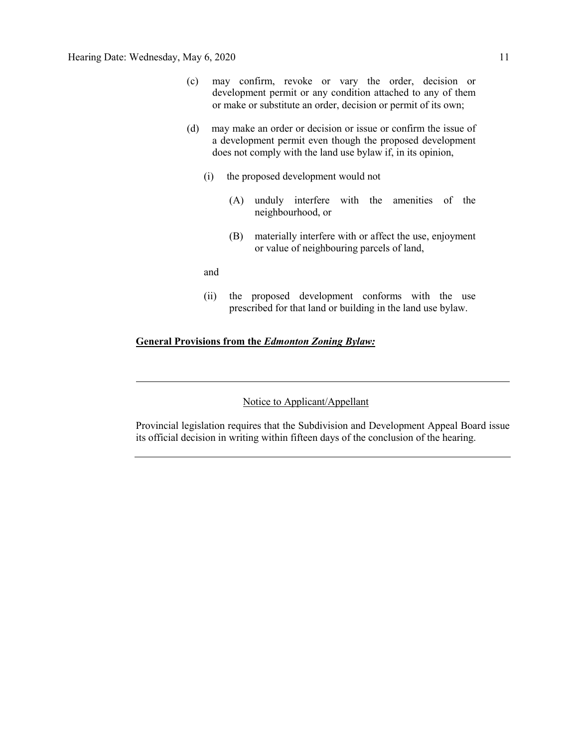- (c) may confirm, revoke or vary the order, decision or development permit or any condition attached to any of them or make or substitute an order, decision or permit of its own;
- (d) may make an order or decision or issue or confirm the issue of a development permit even though the proposed development does not comply with the land use bylaw if, in its opinion,
	- (i) the proposed development would not
		- (A) unduly interfere with the amenities of the neighbourhood, or
		- (B) materially interfere with or affect the use, enjoyment or value of neighbouring parcels of land,

and

(ii) the proposed development conforms with the use prescribed for that land or building in the land use bylaw.

#### **General Provisions from the** *Edmonton Zoning Bylaw:*

### Notice to Applicant/Appellant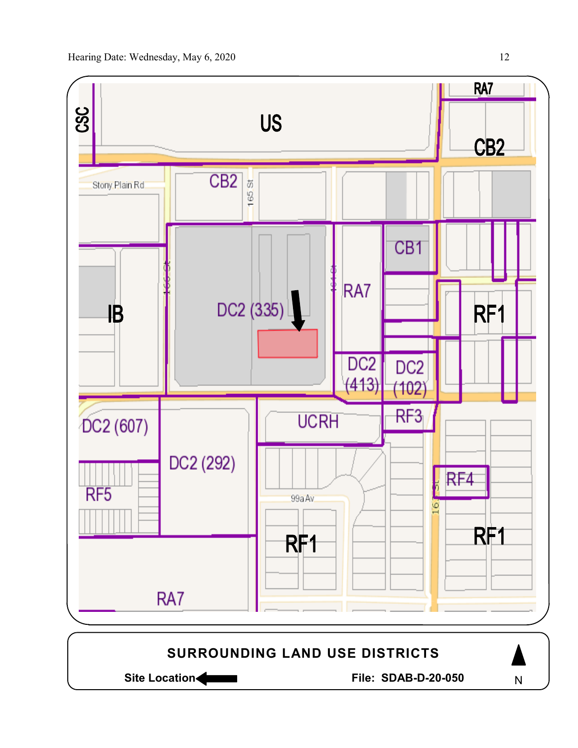



N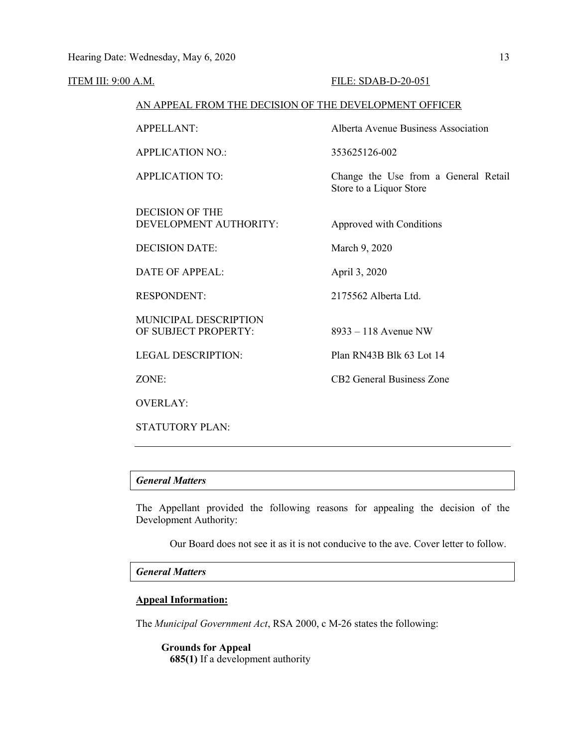#### ITEM III: 9:00 A.M. FILE: SDAB-D-20-051

#### AN APPEAL FROM THE DECISION OF THE DEVELOPMENT OFFICER

APPELLANT: Alberta Avenue Business Association APPLICATION NO.: 353625126-002 APPLICATION TO: Change the Use from a General Retail Store to a Liquor Store DECISION OF THE DEVELOPMENT AUTHORITY: Approved with Conditions DECISION DATE: March 9, 2020 DATE OF APPEAL: April 3, 2020 RESPONDENT: 2175562 Alberta Ltd. MUNICIPAL DESCRIPTION OF SUBJECT PROPERTY: 8933 – 118 Avenue NW LEGAL DESCRIPTION: Plan RN43B Blk 63 Lot 14 ZONE: CB2 General Business Zone OVERLAY:

### *General Matters*

STATUTORY PLAN:

The Appellant provided the following reasons for appealing the decision of the Development Authority:

Our Board does not see it as it is not conducive to the ave. Cover letter to follow.

#### *General Matters*

#### **Appeal Information:**

The *Municipal Government Act*, RSA 2000, c M-26 states the following:

**Grounds for Appeal 685(1)** If a development authority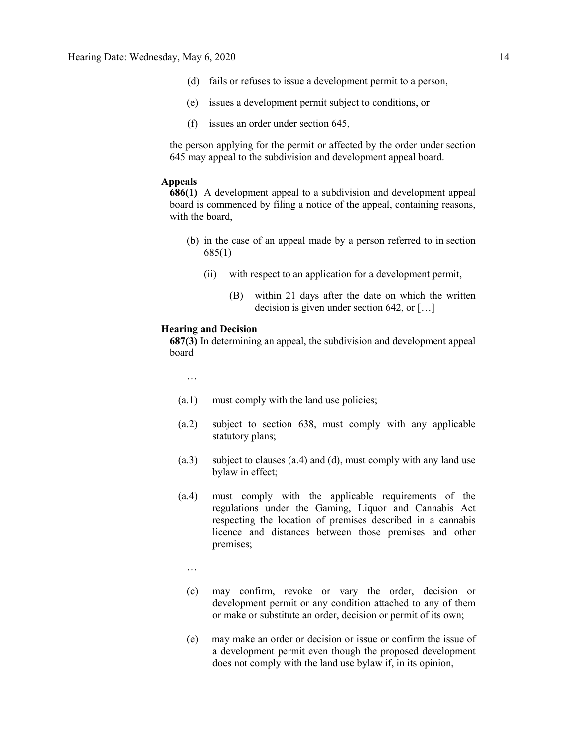- (d) fails or refuses to issue a development permit to a person,
- (e) issues a development permit subject to conditions, or
- (f) issues an order under section 645,

the person applying for the permit or affected by the order under section 645 may appeal to the subdivision and development appeal board.

#### **Appeals**

**686(1)** A development appeal to a subdivision and development appeal board is commenced by filing a notice of the appeal, containing reasons, with the board,

- (b) in the case of an appeal made by a person referred to in section 685(1)
	- (ii) with respect to an application for a development permit,
		- (B) within 21 days after the date on which the written decision is given under section 642, or […]

#### **Hearing and Decision**

**687(3)** In determining an appeal, the subdivision and development appeal board

…

- (a.1) must comply with the land use policies;
- (a.2) subject to section 638, must comply with any applicable statutory plans;
- (a.3) subject to clauses (a.4) and (d), must comply with any land use bylaw in effect;
- (a.4) must comply with the applicable requirements of the regulations under the Gaming, Liquor and Cannabis Act respecting the location of premises described in a cannabis licence and distances between those premises and other premises;
	- …
	- (c) may confirm, revoke or vary the order, decision or development permit or any condition attached to any of them or make or substitute an order, decision or permit of its own;
	- (e) may make an order or decision or issue or confirm the issue of a development permit even though the proposed development does not comply with the land use bylaw if, in its opinion,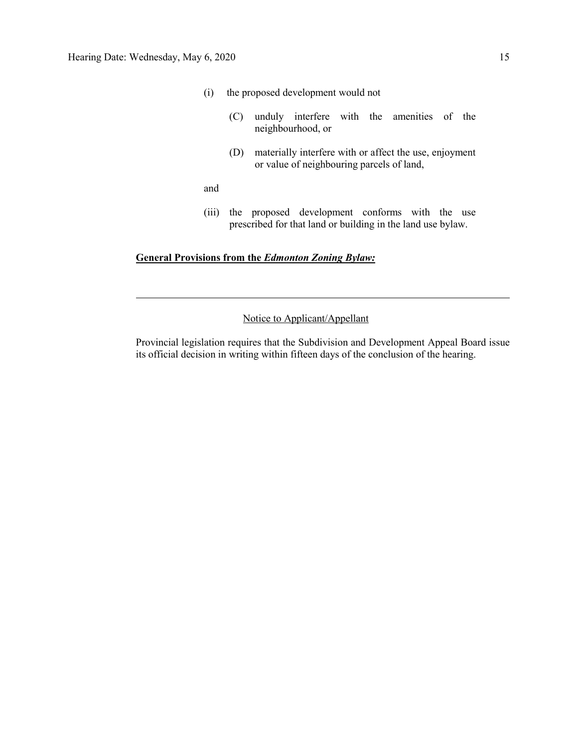- (i) the proposed development would not
	- (C) unduly interfere with the amenities of the neighbourhood, or
	- (D) materially interfere with or affect the use, enjoyment or value of neighbouring parcels of land,

and

(iii) the proposed development conforms with the use prescribed for that land or building in the land use bylaw.

#### **General Provisions from the** *Edmonton Zoning Bylaw:*

Notice to Applicant/Appellant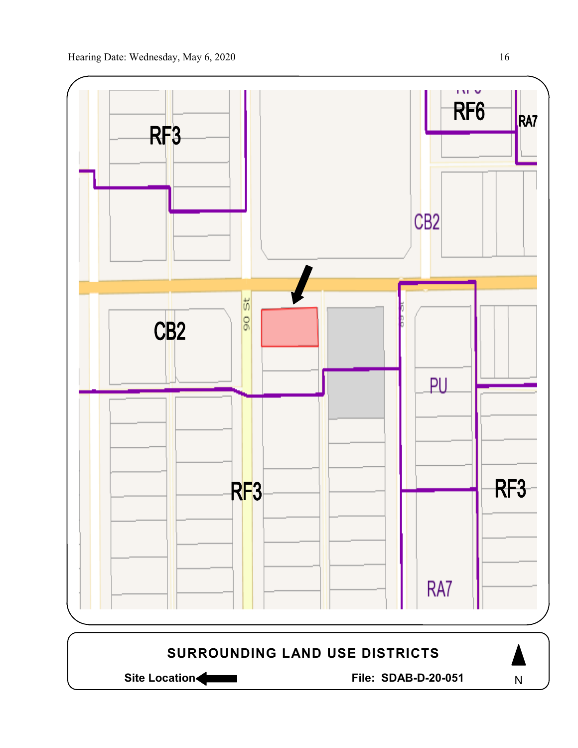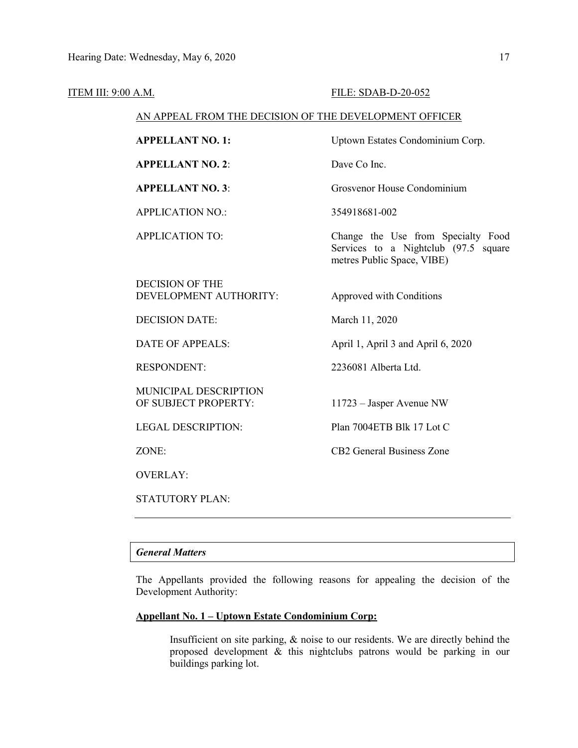#### ITEM III: 9:00 A.M. **FILE: SDAB-D-20-052**

#### AN APPEAL FROM THE DECISION OF THE DEVELOPMENT OFFICER

**APPELLANT NO. 2**: Dave Co Inc.

APPLICATION NO.: 354918681-002

**APPELLANT NO. 1:** Uptown Estates Condominium Corp.

**APPELLANT NO. 3**: Grosvenor House Condominium

APPLICATION TO: Change the Use from Specialty Food Services to a Nightclub (97.5 square metres Public Space, VIBE)

DECISION OF THE DEVELOPMENT AUTHORITY: Approved with Conditions

DECISION DATE: March 11, 2020

MUNICIPAL DESCRIPTION OF SUBJECT PROPERTY: 11723 – Jasper Avenue NW

OVERLAY:

STATUTORY PLAN:

DATE OF APPEALS: April 1, April 3 and April 6, 2020

RESPONDENT: 2236081 Alberta Ltd.

LEGAL DESCRIPTION: Plan 7004ETB Blk 17 Lot C

ZONE: CB2 General Business Zone

### *General Matters*

The Appellants provided the following reasons for appealing the decision of the Development Authority:

#### **Appellant No. 1 – Uptown Estate Condominium Corp:**

Insufficient on site parking, & noise to our residents. We are directly behind the proposed development & this nightclubs patrons would be parking in our buildings parking lot.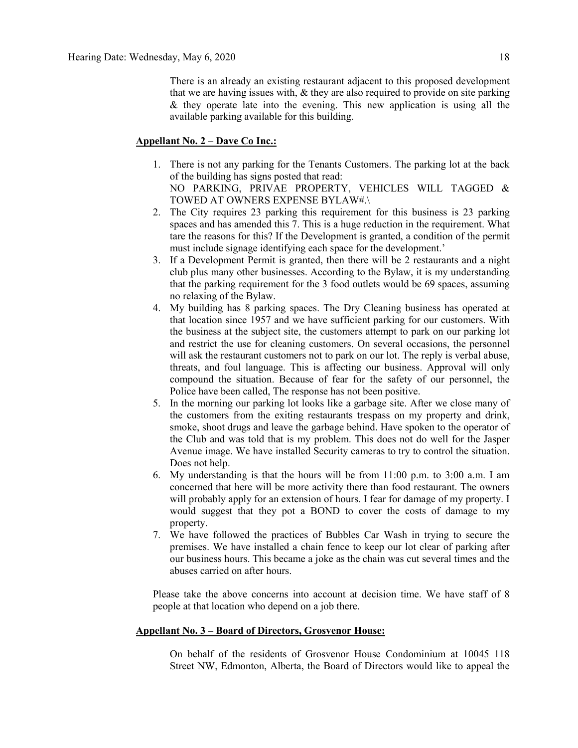There is an already an existing restaurant adjacent to this proposed development that we are having issues with, & they are also required to provide on site parking & they operate late into the evening. This new application is using all the available parking available for this building.

#### **Appellant No. 2 – Dave Co Inc.:**

- 1. There is not any parking for the Tenants Customers. The parking lot at the back of the building has signs posted that read: NO PARKING, PRIVAE PROPERTY, VEHICLES WILL TAGGED & TOWED AT OWNERS EXPENSE BYLAW#.\
- 2. The City requires 23 parking this requirement for this business is 23 parking spaces and has amended this 7. This is a huge reduction in the requirement. What tare the reasons for this? If the Development is granted, a condition of the permit must include signage identifying each space for the development.'
- 3. If a Development Permit is granted, then there will be 2 restaurants and a night club plus many other businesses. According to the Bylaw, it is my understanding that the parking requirement for the 3 food outlets would be 69 spaces, assuming no relaxing of the Bylaw.
- 4. My building has 8 parking spaces. The Dry Cleaning business has operated at that location since 1957 and we have sufficient parking for our customers. With the business at the subject site, the customers attempt to park on our parking lot and restrict the use for cleaning customers. On several occasions, the personnel will ask the restaurant customers not to park on our lot. The reply is verbal abuse, threats, and foul language. This is affecting our business. Approval will only compound the situation. Because of fear for the safety of our personnel, the Police have been called, The response has not been positive.
- 5. In the morning our parking lot looks like a garbage site. After we close many of the customers from the exiting restaurants trespass on my property and drink, smoke, shoot drugs and leave the garbage behind. Have spoken to the operator of the Club and was told that is my problem. This does not do well for the Jasper Avenue image. We have installed Security cameras to try to control the situation. Does not help.
- 6. My understanding is that the hours will be from 11:00 p.m. to 3:00 a.m. I am concerned that here will be more activity there than food restaurant. The owners will probably apply for an extension of hours. I fear for damage of my property. I would suggest that they pot a BOND to cover the costs of damage to my property.
- 7. We have followed the practices of Bubbles Car Wash in trying to secure the premises. We have installed a chain fence to keep our lot clear of parking after our business hours. This became a joke as the chain was cut several times and the abuses carried on after hours.

Please take the above concerns into account at decision time. We have staff of 8 people at that location who depend on a job there.

#### **Appellant No. 3 – Board of Directors, Grosvenor House:**

On behalf of the residents of Grosvenor House Condominium at 10045 118 Street NW, Edmonton, Alberta, the Board of Directors would like to appeal the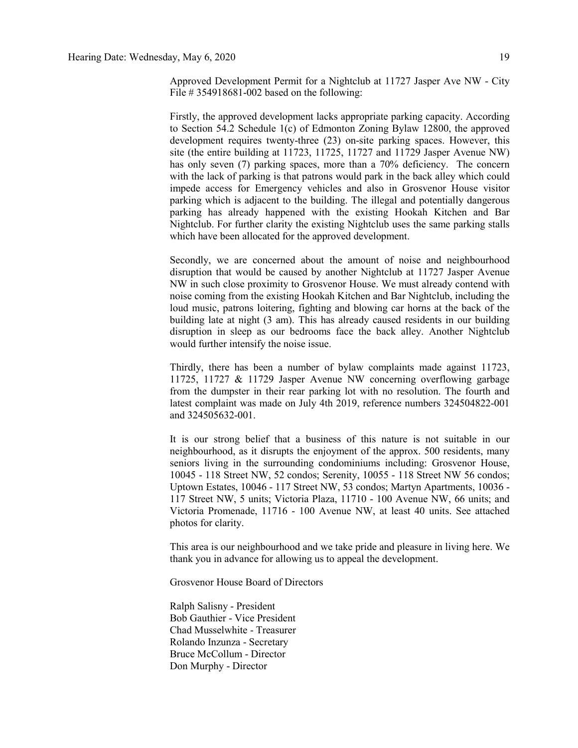Approved Development Permit for a Nightclub at 11727 Jasper Ave NW - City File # 354918681-002 based on the following:

Firstly, the approved development lacks appropriate parking capacity. According to Section 54.2 Schedule 1(c) of Edmonton Zoning Bylaw 12800, the approved development requires twenty-three (23) on-site parking spaces. However, this site (the entire building at 11723, 11725, 11727 and 11729 Jasper Avenue NW) has only seven (7) parking spaces, more than a 70% deficiency. The concern with the lack of parking is that patrons would park in the back alley which could impede access for Emergency vehicles and also in Grosvenor House visitor parking which is adjacent to the building. The illegal and potentially dangerous parking has already happened with the existing Hookah Kitchen and Bar Nightclub. For further clarity the existing Nightclub uses the same parking stalls which have been allocated for the approved development.

Secondly, we are concerned about the amount of noise and neighbourhood disruption that would be caused by another Nightclub at 11727 Jasper Avenue NW in such close proximity to Grosvenor House. We must already contend with noise coming from the existing Hookah Kitchen and Bar Nightclub, including the loud music, patrons loitering, fighting and blowing car horns at the back of the building late at night (3 am). This has already caused residents in our building disruption in sleep as our bedrooms face the back alley. Another Nightclub would further intensify the noise issue.

Thirdly, there has been a number of bylaw complaints made against 11723, 11725, 11727 & 11729 Jasper Avenue NW concerning overflowing garbage from the dumpster in their rear parking lot with no resolution. The fourth and latest complaint was made on July 4th 2019, reference numbers 324504822-001 and 324505632-001.

It is our strong belief that a business of this nature is not suitable in our neighbourhood, as it disrupts the enjoyment of the approx. 500 residents, many seniors living in the surrounding condominiums including: Grosvenor House, 10045 - 118 Street NW, 52 condos; Serenity, 10055 - 118 Street NW 56 condos; Uptown Estates, 10046 - 117 Street NW, 53 condos; Martyn Apartments, 10036 - 117 Street NW, 5 units; Victoria Plaza, 11710 - 100 Avenue NW, 66 units; and Victoria Promenade, 11716 - 100 Avenue NW, at least 40 units. See attached photos for clarity.

This area is our neighbourhood and we take pride and pleasure in living here. We thank you in advance for allowing us to appeal the development.

Grosvenor House Board of Directors

Ralph Salisny - President Bob Gauthier - Vice President Chad Musselwhite - Treasurer Rolando Inzunza - Secretary Bruce McCollum - Director Don Murphy - Director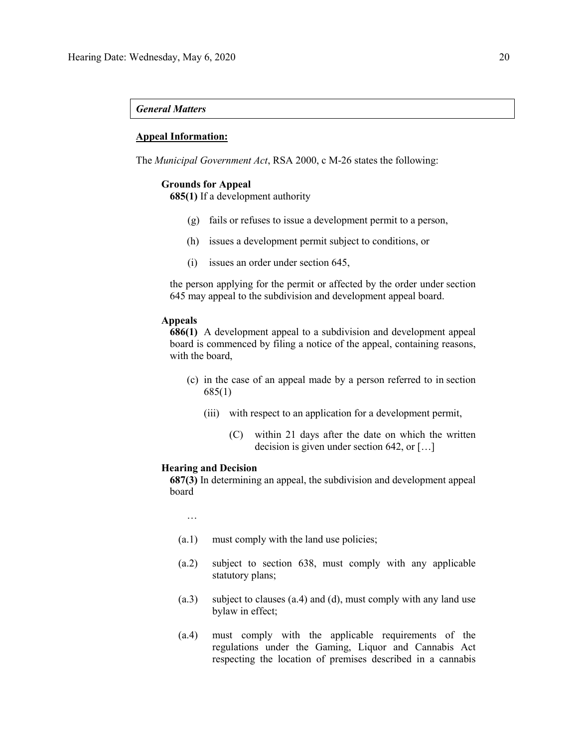#### *General Matters*

#### **Appeal Information:**

The *Municipal Government Act*, RSA 2000, c M-26 states the following:

#### **Grounds for Appeal**

**685(1)** If a development authority

- (g) fails or refuses to issue a development permit to a person,
- (h) issues a development permit subject to conditions, or
- (i) issues an order under section 645,

the person applying for the permit or affected by the order under section 645 may appeal to the subdivision and development appeal board.

#### **Appeals**

**686(1)** A development appeal to a subdivision and development appeal board is commenced by filing a notice of the appeal, containing reasons, with the board,

- (c) in the case of an appeal made by a person referred to in section 685(1)
	- (iii) with respect to an application for a development permit,
		- (C) within 21 days after the date on which the written decision is given under section 642, or […]

#### **Hearing and Decision**

**687(3)** In determining an appeal, the subdivision and development appeal board

…

- (a.1) must comply with the land use policies;
- (a.2) subject to section 638, must comply with any applicable statutory plans;
- (a.3) subject to clauses (a.4) and (d), must comply with any land use bylaw in effect;
- (a.4) must comply with the applicable requirements of the regulations under the Gaming, Liquor and Cannabis Act respecting the location of premises described in a cannabis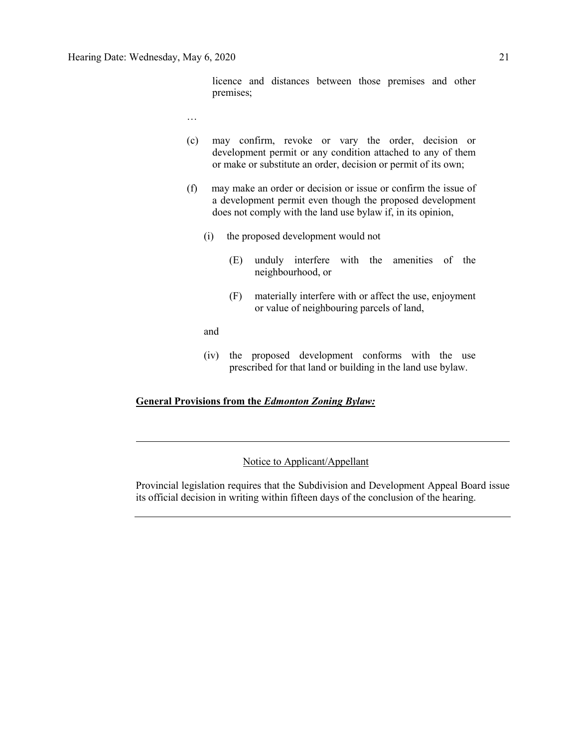licence and distances between those premises and other premises;

- …
- (c) may confirm, revoke or vary the order, decision or development permit or any condition attached to any of them or make or substitute an order, decision or permit of its own;
- (f) may make an order or decision or issue or confirm the issue of a development permit even though the proposed development does not comply with the land use bylaw if, in its opinion,
	- (i) the proposed development would not
		- (E) unduly interfere with the amenities of the neighbourhood, or
		- (F) materially interfere with or affect the use, enjoyment or value of neighbouring parcels of land,

and

(iv) the proposed development conforms with the use prescribed for that land or building in the land use bylaw.

### **General Provisions from the** *Edmonton Zoning Bylaw:*

### Notice to Applicant/Appellant